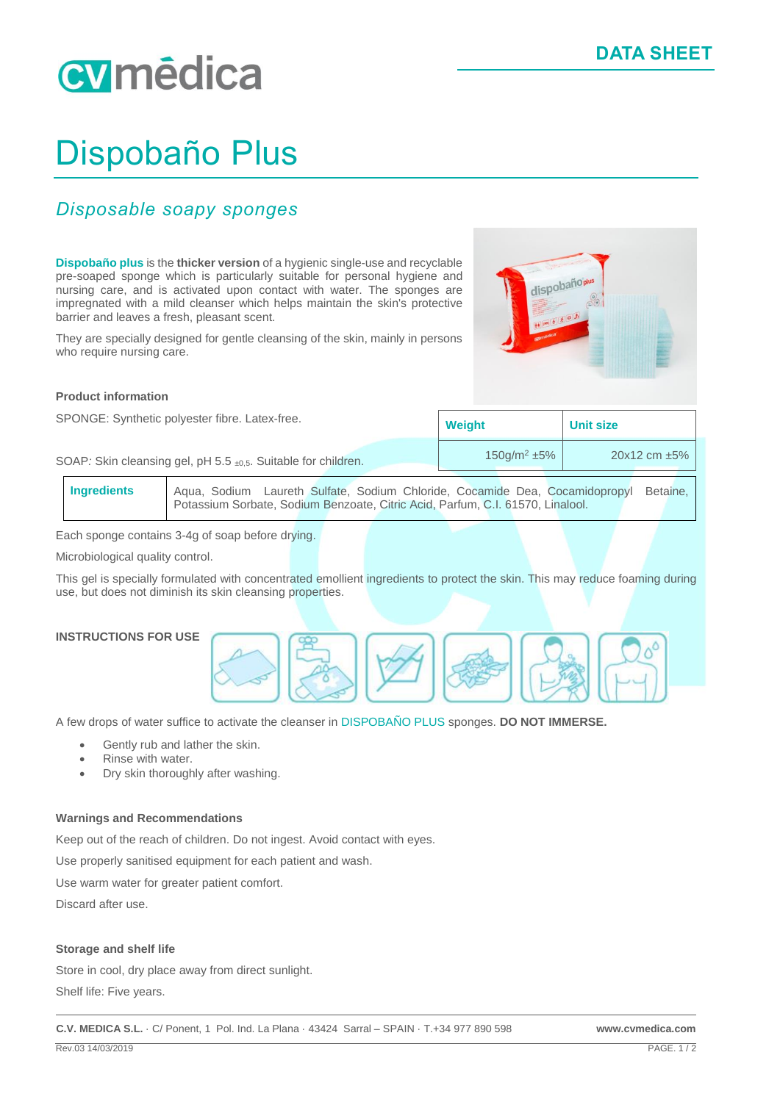# cymēdica

### Dispobaño Plus

### *Disposable soapy sponges*

**Dispobaño plus** is the **thicker version** of a hygienic single-use and recyclable pre-soaped sponge which is particularly suitable for personal hygiene and nursing care, and is activated upon contact with water. The sponges are impregnated with a mild cleanser which helps maintain the skin's protective barrier and leaves a fresh, pleasant scent.

They are specially designed for gentle cleansing of the skin, mainly in persons who require nursing care.



#### **Product information**

| SPONGE: Synthetic polyester fibre. Latex-free.                |  | <b>Weight</b>     | <b>Unit size</b>     |  |
|---------------------------------------------------------------|--|-------------------|----------------------|--|
| SOAP: Skin cleansing gel, pH 5.5 ±0,5. Suitable for children. |  | $150q/m^2 \pm 5%$ | $20x12$ cm $\pm 5\%$ |  |

**Ingredients** Aqua, Sodium Laureth Sulfate, Sodium Chloride, Cocamide Dea, Cocamidopropyl Betaine, Potassium Sorbate, Sodium Benzoate, Citric Acid, Parfum, C.I. 61570, Linalool.

Each sponge contains 3-4g of soap before drying.

Microbiological quality control.

This gel is specially formulated with concentrated emollient ingredients to protect the skin. This may reduce foaming during use, but does not diminish its skin cleansing properties.

#### **INSTRUCTIONS FOR USE**



A few drops of water suffice to activate the cleanser in DISPOBAÑO PLUS sponges. **DO NOT IMMERSE.**

- Gently rub and lather the skin.
- Rinse with water.
- Dry skin thoroughly after washing.

#### **Warnings and Recommendations**

Keep out of the reach of children. Do not ingest. Avoid contact with eyes.

Use properly sanitised equipment for each patient and wash.

Use warm water for greater patient comfort.

Discard after use.

#### **Storage and shelf life**

Store in cool, dry place away from direct sunlight.

Shelf life: Five years.

**C.V. MEDICA S.L.** · C/ Ponent, 1 Pol. Ind. La Plana · 43424 Sarral – SPAIN · T.+34 977 890 598 **www.cvmedica.com**